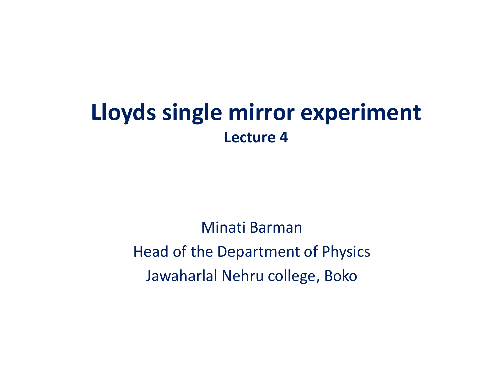## **Lloyds single mirror experiment Lecture 4**

Minati Barman Head of the Department of Physics Jawaharlal Nehru college, Boko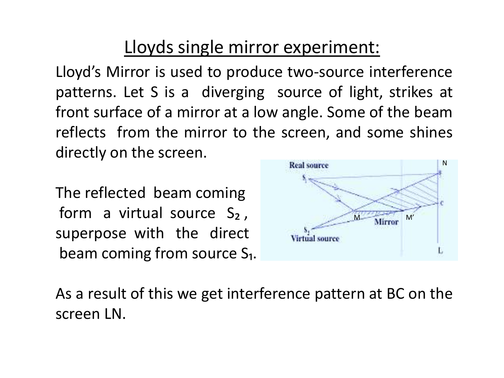## Lloyds single mirror experiment:

Lloyd's Mirror is used to produce two-source interference patterns. Let S is a diverging source of light, strikes at front surface of a mirror at a low angle. Some of the beam reflects from the mirror to the screen, and some shines directly on the screen.

The reflected beam coming form a virtual source  $S_2$ , superpose with the direct beam coming from source S<sub>1</sub>.



As a result of this we get interference pattern at BC on the screen LN.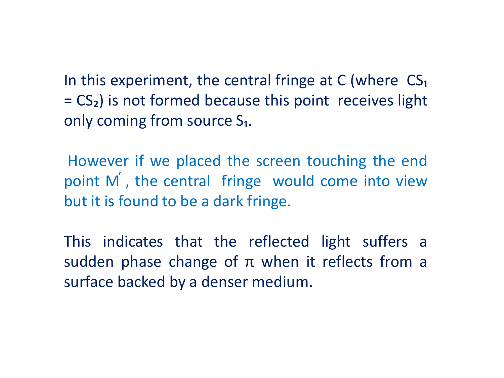In this experiment, the central fringe at  $C$  (where  $CS_1$  $=$   $CS<sub>2</sub>$ ) is not formed because this point receives light only coming from source S<sub>1</sub>.

However if we placed the screen touching the end point M', the central fringe would come into view but it is found to be a dark fringe.

This indicates that the reflected light suffers a sudden phase change of  $\pi$  when it reflects from a surface backed by a denser medium.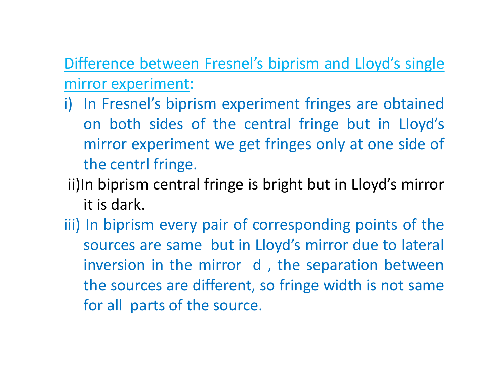Difference between Fresnel's biprism and Lloyd's single mirror experiment:

- i) In Fresnel's biprism experiment fringes are obtained on both sides of the central fringe but in Lloyd's mirror experiment we get fringes only at one side of the centrl fringe.
- ii)In biprism central fringe is bright but in Lloyd's mirror it is dark.
- iii) In biprism every pair of corresponding points of the sources are same but in Lloyd's mirror due to lateral inversion in the mirror d , the separation between the sources are different, so fringe width is not same for all parts of the source.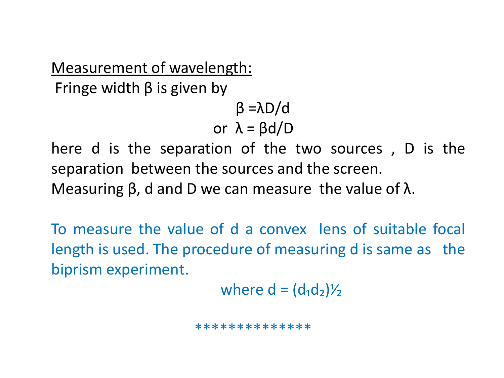Measurement of wavelength:

Fringe width  $β$  is given by

β =λD/d or  $\lambda = \beta d/D$ 

here d is the separation of the two sources , D is the separation between the sources and the screen. Measuring  $\beta$ , d and D we can measure the value of  $\lambda$ .

To measure the value of d a convex lens of suitable focal length is used. The procedure of measuring d is same as the biprism experiment.

where  $d = (d_1 d_2) \frac{1}{2}$ 

\*\*\*\*\*\*\*\*\*\*\*\*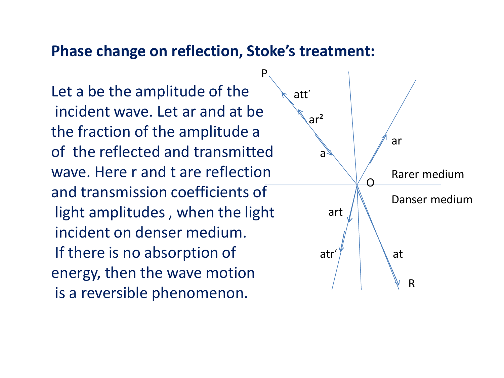## **Phase change on reflection, Stoke's treatment:**

P

Let a be the amplitude of the incident wave. Let ar and at be the fraction of the amplitude a of the reflected and transmitted wave. Here r and t are reflection and transmission coefficients of light amplitudes , when the light incident on denser medium. If there is no absorption of energy, then the wave motion is a reversible phenomenon.